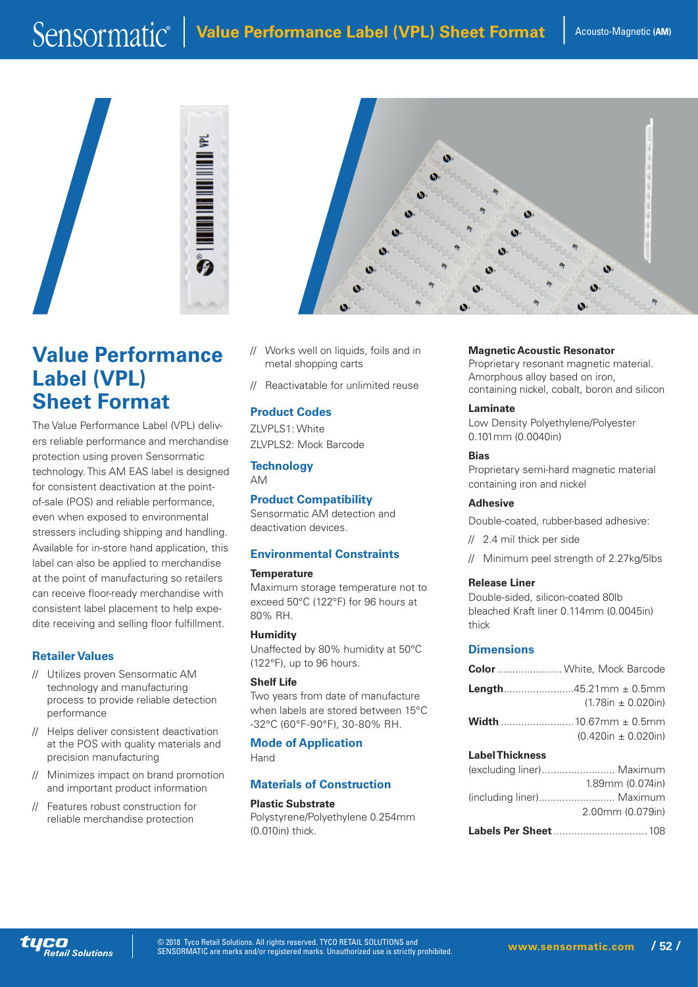

# **Value Performance Label (VPL) Sheet Format**

The Value Performance Label (VPL) delivers reliable performance and merchandise protection using proven Sensormatic technology. This AM EAS label is designed for consistent deactivation at the pointof-sale (POS) and reliable performance, even when exposed to environmental stressers including shipping and handling. Available for in-store hand application, this label can also be applied to merchandise at the point of manufacturing so retailers can receive floor-ready merchandise with consistent label placement to help expedite receiving and selling floor fulfillment.

# **Retailer Values**

- // Utilizes proven Sensormatic AM technology and manufacturing process to provide reliable detection performance
- // Helps deliver consistent deactivation at the POS with quality materials and precision manufacturing
- // Minimizes impact on brand promotion and important product information
- // Features robust construction for reliable merchandise protection



- // Works well on liquids, foils and in metal shopping carts
- // Reactivatable for unlimited reuse

# **Product Codes**

ZLVPLS1: White ZLVPLS2: Mock Barcode

#### **Technology** AM

**Product Compatibility**

Sensormatic AM detection and deactivation devices.

# **Environmental Constraints**

#### **Temperature**

Maximum storage temperature not to exceed 50°C (122°F) for 96 hours at 80% RH.

**Humidity** Unaffected by 80% humidity at 50°C (122°F), up to 96 hours.

#### **Shelf Life**

Two years from date of manufacture when labels are stored between 15°C -32°C (60°F-90°F), 30-80% RH.

**Mode of Application** Hand

# **Materials of Construction**

#### **Plastic Substrate** Polystyrene/Polyethylene 0.254mm (0.010in) thick.

**Magnetic Acoustic Resonator** Proprietary resonant magnetic material. Amorphous alloy based on iron, containing nickel, cobalt, boron and silicon

#### **Laminate** Low Density Polyethylene/Polyester 0.101mm (0.0040in)

**Bias** Proprietary semi-hard magnetic material containing iron and nickel

# **Adhesive**

Double-coated, rubber-based adhesive:

// 2.4 mil thick per side

// Minimum peel strength of 2.27kg/5lbs

# **Release Liner**

Double-sided, silicon-coated 80lb bleached Kraft liner 0.114mm (0.0045in) thick

# **Dimensions**

|                        | <b>Color</b> White, Mock Barcode |
|------------------------|----------------------------------|
|                        | $(1.78in \pm 0.020in)$           |
|                        | $(0.420in \pm 0.020in)$          |
| <b>Label Thickness</b> |                                  |
|                        | (excluding liner) Maximum        |
|                        | 1.89mm (0.074in)                 |
| lineluding liner)      | Mavimum                          |

|                           | 2.00mm (0.079in) |
|---------------------------|------------------|
| (including liner) Maximum |                  |
|                           |                  |